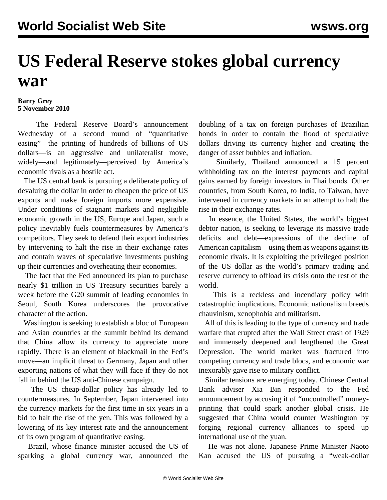## **US Federal Reserve stokes global currency war**

## **Barry Grey 5 November 2010**

 The Federal Reserve Board's announcement Wednesday of a second round of "quantitative easing"—the printing of hundreds of billions of US dollars—is an aggressive and unilateralist move, widely—and legitimately—perceived by America's economic rivals as a hostile act.

 The US central bank is pursuing a deliberate policy of devaluing the dollar in order to cheapen the price of US exports and make foreign imports more expensive. Under conditions of stagnant markets and negligible economic growth in the US, Europe and Japan, such a policy inevitably fuels countermeasures by America's competitors. They seek to defend their export industries by intervening to halt the rise in their exchange rates and contain waves of speculative investments pushing up their currencies and overheating their economies.

 The fact that the Fed announced its plan to purchase nearly \$1 trillion in US Treasury securities barely a week before the G20 summit of leading economies in Seoul, South Korea underscores the provocative character of the action.

 Washington is seeking to establish a bloc of European and Asian countries at the summit behind its demand that China allow its currency to appreciate more rapidly. There is an element of blackmail in the Fed's move—an implicit threat to Germany, Japan and other exporting nations of what they will face if they do not fall in behind the US anti-Chinese campaign.

 The US cheap-dollar policy has already led to countermeasures. In September, Japan intervened into the currency markets for the first time in six years in a bid to halt the rise of the yen. This was followed by a lowering of its key interest rate and the announcement of its own program of quantitative easing.

 Brazil, whose finance minister accused the US of sparking a global currency war, announced the

doubling of a tax on foreign purchases of Brazilian bonds in order to contain the flood of speculative dollars driving its currency higher and creating the danger of asset bubbles and inflation.

 Similarly, Thailand announced a 15 percent withholding tax on the interest payments and capital gains earned by foreign investors in Thai bonds. Other countries, from South Korea, to India, to Taiwan, have intervened in currency markets in an attempt to halt the rise in their exchange rates.

 In essence, the United States, the world's biggest debtor nation, is seeking to leverage its massive trade deficits and debt—expressions of the decline of American capitalism—using them as weapons against its economic rivals. It is exploiting the privileged position of the US dollar as the world's primary trading and reserve currency to offload its crisis onto the rest of the world.

 This is a reckless and incendiary policy with catastrophic implications. Economic nationalism breeds chauvinism, xenophobia and militarism.

 All of this is leading to the type of currency and trade warfare that erupted after the Wall Street crash of 1929 and immensely deepened and lengthened the Great Depression. The world market was fractured into competing currency and trade blocs, and economic war inexorably gave rise to military conflict.

 Similar tensions are emerging today. Chinese Central Bank adviser Xia Bin responded to the Fed announcement by accusing it of "uncontrolled" moneyprinting that could spark another global crisis. He suggested that China would counter Washington by forging regional currency alliances to speed up international use of the yuan.

 He was not alone. Japanese Prime Minister Naoto Kan accused the US of pursuing a "weak-dollar